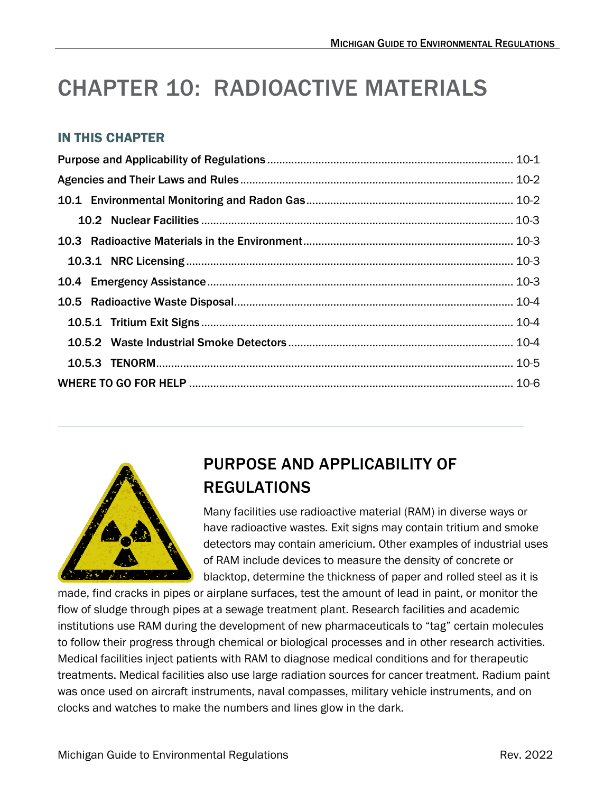# CHAPTER 10: RADIOACTIVE MATERIALS

#### IN THIS CHAPTER



# <span id="page-0-0"></span>PURPOSE AND APPLICABILITY OF REGULATIONS

Many facilities use radioactive material (RAM) in diverse ways or have radioactive wastes. Exit signs may contain tritium and smoke detectors may contain americium. Other examples of industrial uses of RAM include devices to measure the density of concrete or blacktop, determine the thickness of paper and rolled steel as it is

made, find cracks in pipes or airplane surfaces, test the amount of lead in paint, or monitor the flow of sludge through pipes at a sewage treatment plant. Research facilities and academic institutions use RAM during the development of new pharmaceuticals to "tag" certain molecules to follow their progress through chemical or biological processes and in other research activities. Medical facilities inject patients with RAM to diagnose medical conditions and for therapeutic treatments. Medical facilities also use large radiation sources for cancer treatment. Radium paint was once used on aircraft instruments, naval compasses, military vehicle instruments, and on clocks and watches to make the numbers and lines glow in the dark.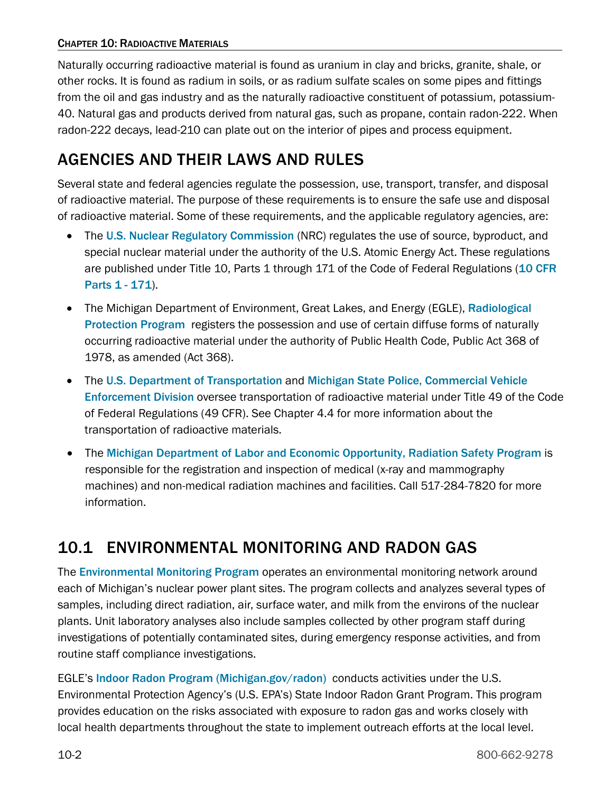Naturally occurring radioactive material is found as uranium in clay and bricks, granite, shale, or other rocks. It is found as radium in soils, or as radium sulfate scales on some pipes and fittings from the oil and gas industry and as the naturally radioactive constituent of potassium, potassium-40. Natural gas and products derived from natural gas, such as propane, contain radon-222. When radon-222 decays, lead-210 can plate out on the interior of pipes and process equipment.

## <span id="page-1-0"></span>AGENCIES AND THEIR LAWS AND RULES

Several state and federal agencies regulate the possession, use, transport, transfer, and disposal of radioactive material. The purpose of these requirements is to ensure the safe use and disposal of radioactive material. Some of these requirements, and the applicable regulatory agencies, are:

- •The [U.S. Nuclear Regulatory Commission](https://www.nrc.gov/) (NRC) regulates the use of source, byproduct, and special nuclear material under the authority of the U.S. Atomic Energy Act. These regulations are published under Title 10, Parts 1 through 171 of the Code of Federal Regulations (10 CFR [Parts 1 - 171](https://www.nrc.gov/reading-rm/doc-collections/cfr/index.html)).
- The Michigan Department of Environment, Great Lakes, and Energy (EGLE), Radiological [Protection Program](https://www.michigan.gov/egle/about/organization/Materials-Management/radiological) registers the possession and use of certain diffuse forms of naturally occurring radioactive material under the authority of Public Health Code, Public Act 368 of 1978, as amended (Act 368).
- The [U.S. Department of Transportation](https://www.phmsa.dot.gov/regulations-and-compliance) and [Michigan State Police, Commercial Vehicle](https://www.michigan.gov/msp/divisions/cved)  [Enforcement Division](https://www.michigan.gov/msp/divisions/cved) oversee transportation of radioactive material under Title 49 of the Code of Federal Regulations (49 CFR). See Chapter 4.4 for more information about the transportation of radioactive materials.
- The [Michigan Department of Labor and Economic Opportunity, Radiation Safety Program](https://www.michigan.gov/leo/bureaus-agencies/MIOSHA/Divisions/technical-services-division/rad-safety) is responsible for the registration and inspection of medical (x-ray and mammography machines) and non-medical radiation machines and facilities. Call 517-284-7820 for more information.

### <span id="page-1-1"></span>10.1 ENVIRONMENTAL MONITORING AND RADON GAS

The **Environmental Monitoring Program** operates an environmental monitoring network around each of Michigan's nuclear power plant sites. The program collects and analyzes several types of samples, including direct radiation, air, surface water, and milk from the environs of the nuclear plants. Unit laboratory analyses also include samples collected by other program staff during investigations of potentially contaminated sites, during emergency response activities, and from routine staff compliance investigations.

EGLE's [Indoor Radon Program \(Michigan.gov/radon\)](https://www.michigan.gov/egle/about/organization/Materials-Management/radiological/monitoring) conducts activities under the U.S. Environmental Protection Agency's (U.S. EPA's) State Indoor Radon Grant Program. This program provides education on the risks associated with exposure to radon gas and works closely with local health departments throughout the state to implement outreach efforts at the local level.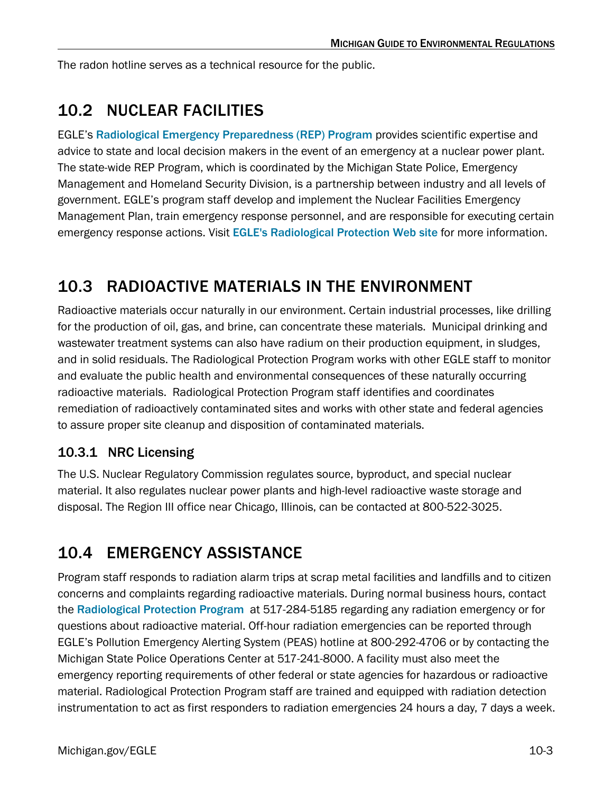The radon hotline serves as a technical resource for the public.

### <span id="page-2-0"></span>10.2 NUCLEAR FACILITIES

EGLE's[Radiological Emergency Preparedness \(REP\) Program](https://www.michigan.gov/egle/about/organization/Materials-Management/radiological/radiological-emergency-preparedness) provides scientific expertise and advice to state and local decision makers in the event of an emergency at a nuclear power plant. The state-wide REP Program, which is coordinated by the Michigan State Police, Emergency Management and Homeland Security Division, is a partnership between industry and all levels of government. EGLE's program staff develop and implement the Nuclear Facilities Emergency Management Plan, train emergency response personnel, and are responsible for executing certain emergency response actions. Visit[EGLE's Radiological Protection Web site](https://www.michigan.gov/egle/about/organization/Materials-Management/radiological/radiological-emergency-preparedness) for more information.

### <span id="page-2-1"></span>10.3 RADIOACTIVE MATERIALS IN THE ENVIRONMENT

Radioactive materials occur naturally in our environment. Certain industrial processes, like drilling for the production of oil, gas, and brine, can concentrate these materials. Municipal drinking and wastewater treatment systems can also have radium on their production equipment, in sludges, and in solid residuals. The Radiological Protection Program works with other EGLE staff to monitor and evaluate the public health and environmental consequences of these naturally occurring radioactive materials. Radiological Protection Program staff identifies and coordinates remediation of radioactively contaminated sites and works with other state and federal agencies to assure proper site cleanup and disposition of contaminated materials.

#### <span id="page-2-2"></span>10.3.1 NRC Licensing

The U.S. Nuclear Regulatory Commission regulates source, byproduct, and special nuclear material. It also regulates nuclear power plants and high-level radioactive waste storage and disposal. The Region III office near Chicago, Illinois, can be contacted at 800-522-3025.

### <span id="page-2-3"></span>10.4 EMERGENCY ASSISTANCE

Program staff responds to radiation alarm trips at scrap metal facilities and landfills and to citizen concerns and complaints regarding radioactive materials. During normal business hours, contact the[Radiological Protection Program](https://www.michigan.gov/egle/about/organization/Materials-Management/radiological) at 517-284-5185 regarding any radiation emergency or for questions about radioactive material. Off-hour radiation emergencies can be reported through EGLE's Pollution Emergency Alerting System (PEAS) hotline at 800-292-4706 or by contacting the Michigan State Police Operations Center at 517-241-8000. A facility must also meet the emergency reporting requirements of other federal or state agencies for hazardous or radioactive material. Radiological Protection Program staff are trained and equipped with radiation detection instrumentation to act as first responders to radiation emergencies 24 hours a day, 7 days a week.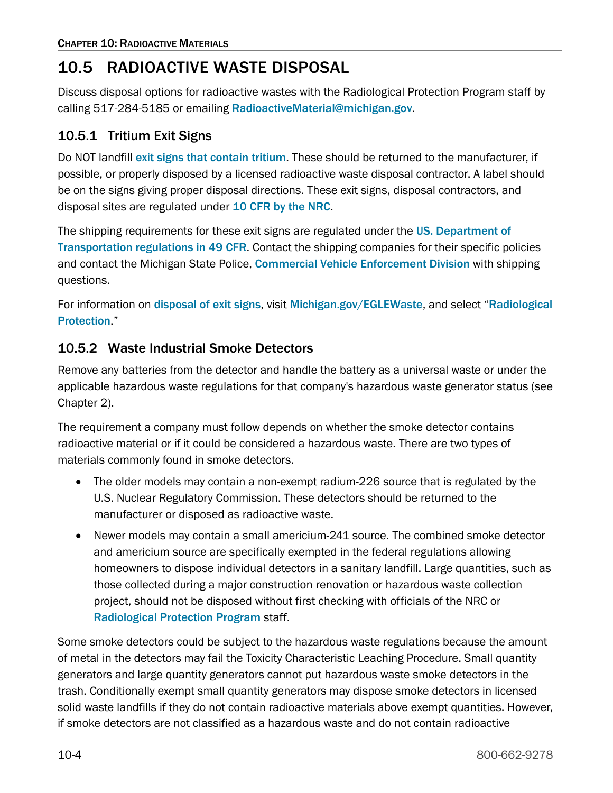### <span id="page-3-0"></span>10.5 RADIOACTIVE WASTE DISPOSAL

Discuss disposal options for radioactive wastes with the Radiological Protection Program staff by calling 517-284-5185 or emailing [RadioactiveMaterial@michigan.gov](mailto:RadioactiveMaterial@michigan.gov).

#### <span id="page-3-1"></span>10.5.1 Tritium Exit Signs

DoNOT landfill [exit signs that contain tritium](https://www.michigan.gov/egle/about/organization/Materials-Management/radiological/material/information-about-exit-signs-containing-tritium). These should be returned to the manufacturer, if possible, or properly disposed by a licensed radioactive waste disposal contractor. A label should be on the signs giving proper disposal directions. These exit signs, disposal contractors, and disposal sites are regulated under [10 CFR by the NRC](https://www.nrc.gov/reading-rm/doc-collections/cfr/index.html).

The shipping requirements for these exit signs are regulated under the US. Department of [Transportation regulations in 49 CFR](https://www.ecfr.gov/current/title-49). Contact the shipping companies for their specific policies and contact the Michigan State Police, [Commercial Vehicle Enforcement](https://www.michigan.gov/msp/divisions/cved) [Division](https://www.michigan.gov/msp/divisions/cved) with shipping questions.

For information on [disposal of exit signs](https://www.michigan.gov/egle/about/organization/Materials-Management/radiological/material/information-about-exit-signs-containing-tritium), visit [Michigan.gov/EGLEWaste](https://www.michigan.gov/EGLEwaste), and select "Radiological [Protection](https://www.michigan.gov/egle/about/organization/Materials-Management/radiological/radiological-emergency-preparedness)."

#### <span id="page-3-2"></span>10.5.2 Waste Industrial Smoke Detectors

Remove any batteries from the detector and handle the battery as a universal waste or under the applicable hazardous waste regulations for that company's hazardous waste generator status (see Chapter 2).

The requirement a company must follow depends on whether the smoke detector contains radioactive material or if it could be considered a hazardous waste. There are two types of materials commonly found in smoke detectors.

- The older models may contain a non-exempt radium-226 source that is regulated by the U.S. Nuclear Regulatory Commission. These detectors should be returned to the manufacturer or disposed as radioactive waste.
- Newer models may contain a small americium-241 source. The combined smoke detector and americium source are specifically exempted in the federal regulations allowing homeowners to dispose individual detectors in a sanitary landfill. Large quantities, such as those collected during a major construction renovation or hazardous waste collection project, should not be disposed without first checking with officials of the NRC or [Radiological Protection Program](https://www.michigan.gov/egle/about/organization/Materials-Management/radiological) staff.

Some smoke detectors could be subject to the hazardous waste regulations because the amount of metal in the detectors may fail the Toxicity Characteristic Leaching Procedure. Small quantity generators and large quantity generators cannot put hazardous waste smoke detectors in the trash. Conditionally exempt small quantity generators may dispose smoke detectors in licensed solid waste landfills if they do not contain radioactive materials above exempt quantities. However, if smoke detectors are not classified as a hazardous waste and do not contain radioactive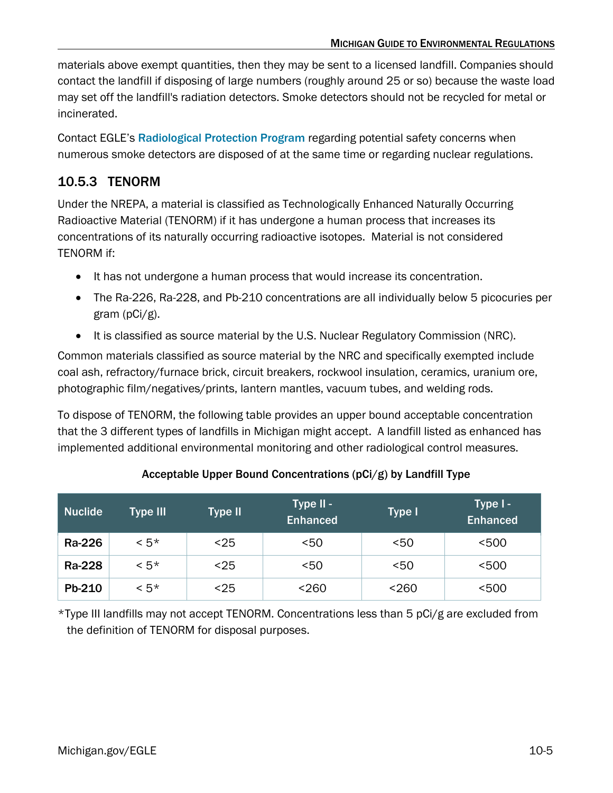materials above exempt quantities, then they may be sent to a licensed landfill. Companies should contact the landfill if disposing of large numbers (roughly around 25 or so) because the waste load may set off the landfill's radiation detectors. Smoke detectors should not be recycled for metal or incinerated.

Contact EGLE's [Radiological Protection](https://www.michigan.gov/egle/about/organization/Materials-Management/radiological) [Program](https://www.michigan.gov/egle/about/organization/Materials-Management/radiological) regarding potential safety concerns when numerous smoke detectors are disposed of at the same time or regarding nuclear regulations.

#### <span id="page-4-0"></span>10.5.3 TENORM

Under the NREPA, a material is classified as Technologically Enhanced Naturally Occurring Radioactive Material (TENORM) if it has undergone a human process that increases its concentrations of its naturally occurring radioactive isotopes. Material is not considered TENORM if:

- It has not undergone a human process that would increase its concentration.
- The Ra-226, Ra-228, and Pb-210 concentrations are all individually below 5 picocuries per gram (pCi/g).
- It is classified as source material by the U.S. Nuclear Regulatory Commission (NRC).

Common materials classified as source material by the NRC and specifically exempted include coal ash, refractory/furnace brick, circuit breakers, rockwool insulation, ceramics, uranium ore, photographic film/negatives/prints, lantern mantles, vacuum tubes, and welding rods.

To dispose of TENORM, the following table provides an upper bound acceptable concentration that the 3 different types of landfills in Michigan might accept. A landfill listed as enhanced has implemented additional environmental monitoring and other radiological control measures.

| Nuclide | Type III | Type II | Type II -<br><b>Enhanced</b> | Type I | Type I -<br><b>Enhanced</b> |
|---------|----------|---------|------------------------------|--------|-----------------------------|
| Ra-226  | $< 5*$   | $25$    | < 50                         | 50<    | < 500                       |
| Ra-228  | $< 5*$   | $25$    | < 50                         | 50<    | $<$ 500                     |
| Pb-210  | $< 5*$   | <25     | < 260                        | < 260  | < 500                       |

#### Acceptable Upper Bound Concentrations (pCi/g) by Landfill Type

\*Type III landfills may not accept TENORM. Concentrations less than 5 pCi/g are excluded from the definition of TENORM for disposal purposes.